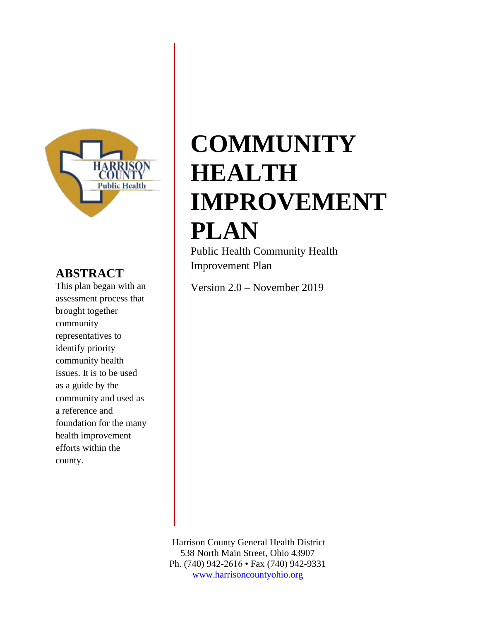

#### <span id="page-0-0"></span>**ABSTRACT**

This plan began with an assessment process that brought together community representatives to identify priority community health issues. It is to be used as a guide by the community and used as a reference and foundation for the many health improvement efforts within the county.

# **COMMUNITY HEALTH IMPROVEMENT PLAN**

<span id="page-0-1"></span>Public Health Community Health Improvement Plan

Version 2.0 – November 2019

Harrison County General Health District 538 North Main Street, Ohio 43907 Ph. (740) 942-2616 • Fax (740) 942-9331 www.harrisoncountyohio.org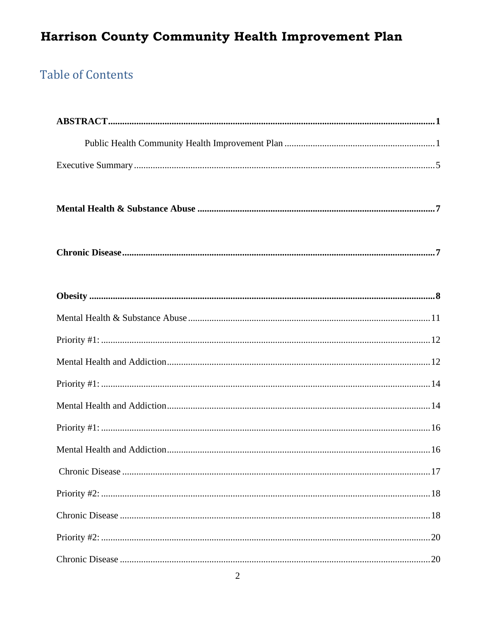### **Table of Contents**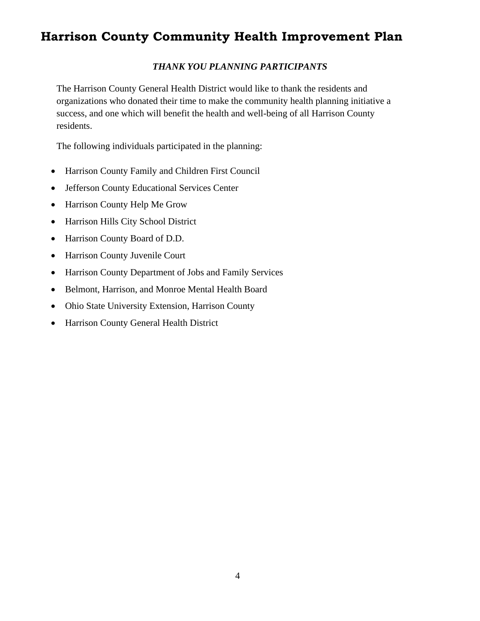#### *THANK YOU PLANNING PARTICIPANTS*

The Harrison County General Health District would like to thank the residents and organizations who donated their time to make the community health planning initiative a success, and one which will benefit the health and well-being of all Harrison County residents.

The following individuals participated in the planning:

- Harrison County Family and Children First Council
- Jefferson County Educational Services Center
- Harrison County Help Me Grow
- Harrison Hills City School District
- Harrison County Board of D.D.
- Harrison County Juvenile Court
- Harrison County Department of Jobs and Family Services
- Belmont, Harrison, and Monroe Mental Health Board
- Ohio State University Extension, Harrison County
- Harrison County General Health District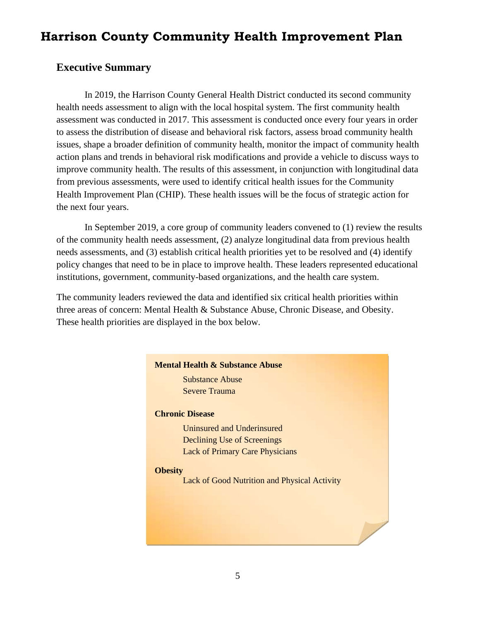#### <span id="page-4-0"></span>**Executive Summary**

In 2019, the Harrison County General Health District conducted its second community health needs assessment to align with the local hospital system. The first community health assessment was conducted in 2017. This assessment is conducted once every four years in order to assess the distribution of disease and behavioral risk factors, assess broad community health issues, shape a broader definition of community health, monitor the impact of community health action plans and trends in behavioral risk modifications and provide a vehicle to discuss ways to improve community health. The results of this assessment, in conjunction with longitudinal data from previous assessments, were used to identify critical health issues for the Community Health Improvement Plan (CHIP). These health issues will be the focus of strategic action for the next four years.

In September 2019, a core group of community leaders convened to (1) review the results of the community health needs assessment, (2) analyze longitudinal data from previous health needs assessments, and (3) establish critical health priorities yet to be resolved and (4) identify policy changes that need to be in place to improve health. These leaders represented educational institutions, government, community-based organizations, and the health care system.

The community leaders reviewed the data and identified six critical health priorities within three areas of concern: Mental Health & Substance Abuse, Chronic Disease, and Obesity. These health priorities are displayed in the box below.

# **Mental Health & Substance Abuse** Substance Abuse Severe Trauma **Chronic Disease** Uninsured and Underinsured Declining Use of Screenings Lack of Primary Care Physicians **Obesity** Lack of Good Nutrition and Physical Activity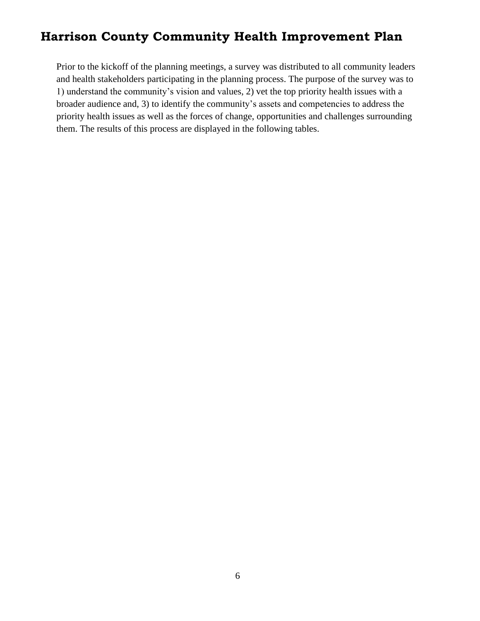Prior to the kickoff of the planning meetings, a survey was distributed to all community leaders and health stakeholders participating in the planning process. The purpose of the survey was to 1) understand the community's vision and values, 2) vet the top priority health issues with a broader audience and, 3) to identify the community's assets and competencies to address the priority health issues as well as the forces of change, opportunities and challenges surrounding them. The results of this process are displayed in the following tables.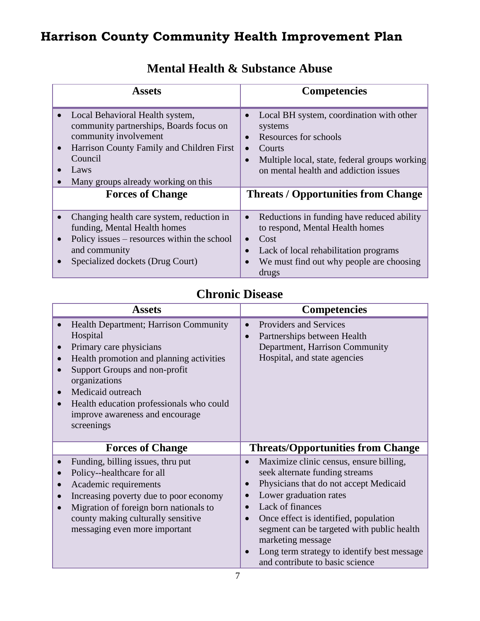<span id="page-6-0"></span>

| <b>Assets</b>                                                                                                                                                                                                           | <b>Competencies</b>                                                                                                                                                                                                        |
|-------------------------------------------------------------------------------------------------------------------------------------------------------------------------------------------------------------------------|----------------------------------------------------------------------------------------------------------------------------------------------------------------------------------------------------------------------------|
| Local Behavioral Health system,<br>$\bullet$<br>community partnerships, Boards focus on<br>community involvement<br>Harrison County Family and Children First<br>Council<br>Laws<br>Many groups already working on this | Local BH system, coordination with other<br>$\bullet$<br>systems<br>Resources for schools<br>$\bullet$<br>Courts<br>Multiple local, state, federal groups working<br>on mental health and addiction issues                 |
| <b>Forces of Change</b>                                                                                                                                                                                                 | <b>Threats / Opportunities from Change</b>                                                                                                                                                                                 |
| Changing health care system, reduction in<br>funding, Mental Health homes<br>Policy issues – resources within the school<br>and community<br>Specialized dockets (Drug Court)                                           | Reductions in funding have reduced ability<br>$\bullet$<br>to respond, Mental Health homes<br>Cost<br>$\bullet$<br>Lack of local rehabilitation programs<br>$\bullet$<br>We must find out why people are choosing<br>drugs |

### **Mental Health & Substance Abuse**

### **Chronic Disease**

<span id="page-6-1"></span>

|           | <b>Assets</b>                                                                                                                                                                                                                                                                                |           | <b>Competencies</b>                                                                                                                                                                                                                                                                                                                                             |
|-----------|----------------------------------------------------------------------------------------------------------------------------------------------------------------------------------------------------------------------------------------------------------------------------------------------|-----------|-----------------------------------------------------------------------------------------------------------------------------------------------------------------------------------------------------------------------------------------------------------------------------------------------------------------------------------------------------------------|
|           | Health Department; Harrison Community<br>Hospital<br>Primary care physicians<br>Health promotion and planning activities<br>Support Groups and non-profit<br>organizations<br>Medicaid outreach<br>Health education professionals who could<br>improve awareness and encourage<br>screenings | $\bullet$ | Providers and Services<br>Partnerships between Health<br>Department, Harrison Community<br>Hospital, and state agencies                                                                                                                                                                                                                                         |
|           | <b>Forces of Change</b>                                                                                                                                                                                                                                                                      |           | <b>Threats/Opportunities from Change</b>                                                                                                                                                                                                                                                                                                                        |
| $\bullet$ | Funding, billing issues, thru put<br>Policy--healthcare for all<br>Academic requirements<br>Increasing poverty due to poor economy<br>Migration of foreign born nationals to<br>county making culturally sensitive<br>messaging even more important                                          |           | Maximize clinic census, ensure billing,<br>seek alternate funding streams<br>Physicians that do not accept Medicaid<br>Lower graduation rates<br>Lack of finances<br>Once effect is identified, population<br>segment can be targeted with public health<br>marketing message<br>Long term strategy to identify best message<br>and contribute to basic science |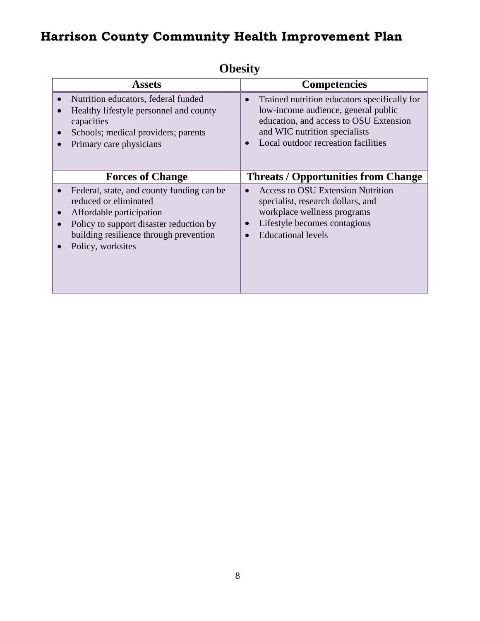<span id="page-7-0"></span>

| <b>ODCSILY</b>                                                                                                                                                                                                        |                                                                                                                                                                                                                    |  |  |  |
|-----------------------------------------------------------------------------------------------------------------------------------------------------------------------------------------------------------------------|--------------------------------------------------------------------------------------------------------------------------------------------------------------------------------------------------------------------|--|--|--|
| <b>Assets</b>                                                                                                                                                                                                         | <b>Competencies</b>                                                                                                                                                                                                |  |  |  |
| Nutrition educators, federal funded<br>Healthy lifestyle personnel and county<br>capacities<br>Schools; medical providers; parents<br>$\bullet$<br>Primary care physicians                                            | Trained nutrition educators specifically for<br>$\bullet$<br>low-income audience, general public<br>education, and access to OSU Extension<br>and WIC nutrition specialists<br>Local outdoor recreation facilities |  |  |  |
| <b>Forces of Change</b>                                                                                                                                                                                               | <b>Threats / Opportunities from Change</b>                                                                                                                                                                         |  |  |  |
| Federal, state, and county funding can be<br>reduced or eliminated<br>Affordable participation<br>Policy to support disaster reduction by<br>$\bullet$<br>building resilience through prevention<br>Policy, worksites | <b>Access to OSU Extension Nutrition</b><br>specialist, research dollars, and<br>workplace wellness programs<br>Lifestyle becomes contagious<br><b>Educational levels</b>                                          |  |  |  |

#### **Obesity**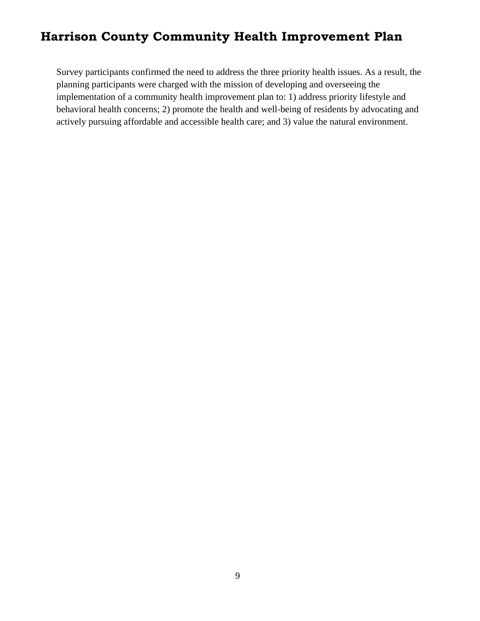Survey participants confirmed the need to address the three priority health issues. As a result, the planning participants were charged with the mission of developing and overseeing the implementation of a community health improvement plan to: 1) address priority lifestyle and behavioral health concerns; 2) promote the health and well-being of residents by advocating and actively pursuing affordable and accessible health care; and 3) value the natural environment.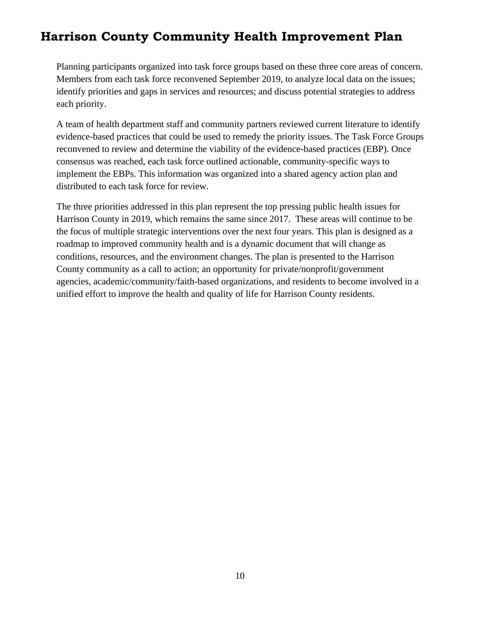Planning participants organized into task force groups based on these three core areas of concern. Members from each task force reconvened September 2019, to analyze local data on the issues; identify priorities and gaps in services and resources; and discuss potential strategies to address each priority.

A team of health department staff and community partners reviewed current literature to identify evidence-based practices that could be used to remedy the priority issues. The Task Force Groups reconvened to review and determine the viability of the evidence-based practices (EBP). Once consensus was reached, each task force outlined actionable, community-specific ways to implement the EBPs. This information was organized into a shared agency action plan and distributed to each task force for review.

The three priorities addressed in this plan represent the top pressing public health issues for Harrison County in 2019, which remains the same since 2017. These areas will continue to be the focus of multiple strategic interventions over the next four years. This plan is designed as a roadmap to improved community health and is a dynamic document that will change as conditions, resources, and the environment changes. The plan is presented to the Harrison County community as a call to action; an opportunity for private/nonprofit/government agencies, academic/community/faith-based organizations, and residents to become involved in a unified effort to improve the health and quality of life for Harrison County residents.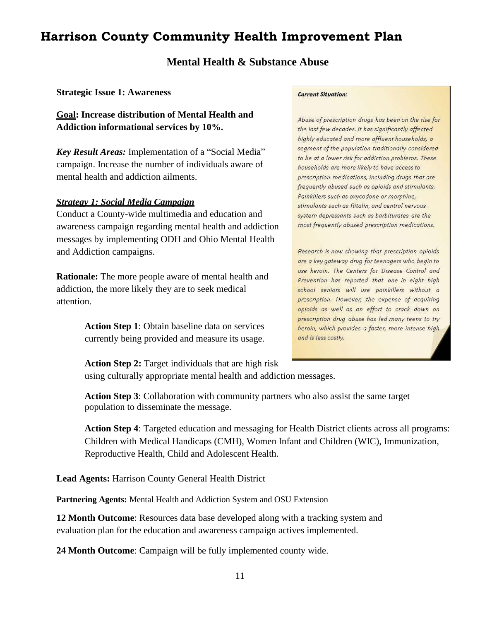#### **Mental Health & Substance Abuse**

<span id="page-10-0"></span>**Strategic Issue 1: Awareness**

**Goal: Increase distribution of Mental Health and Addiction informational services by 10%.**

*Key Result Areas:* Implementation of a "Social Media" campaign. Increase the number of individuals aware of mental health and addiction ailments.

#### *Strategy 1: Social Media Campaign*

Conduct a County-wide multimedia and education and awareness campaign regarding mental health and addiction messages by implementing ODH and Ohio Mental Health and Addiction campaigns.

**Rationale:** The more people aware of mental health and addiction, the more likely they are to seek medical attention.

> **Action Step 1**: Obtain baseline data on services currently being provided and measure its usage.

#### **Current Situation:**

Abuse of prescription drugs has been on the rise for the last few decades. It has significantly affected highly educated and more affluent households, a segment of the population traditionally considered to be at a lower risk for addiction problems. These households are more likely to have access to prescription medications, including drugs that are frequently abused such as opioids and stimulants. Painkillers such as oxycodone or morphine, stimulants such as Ritalin, and central nervous system depressants such as barbiturates are the most frequently abused prescription medications.

Research is now showing that prescription opioids are a key gateway drug for teenagers who begin to use heroin. The Centers for Disease Control and Prevention has reported that one in eight high school seniors will use painkillers without a prescription. However, the expense of acquiring opioids as well as an effort to crack down on prescription drug abuse has led many teens to try heroin, which provides a faster, more intense high and is less costly.

**Action Step 2:** Target individuals that are high risk

using culturally appropriate mental health and addiction messages.

**Action Step 3**: Collaboration with community partners who also assist the same target population to disseminate the message.

**Action Step 4**: Targeted education and messaging for Health District clients across all programs: Children with Medical Handicaps (CMH), Women Infant and Children (WIC), Immunization, Reproductive Health, Child and Adolescent Health.

**Lead Agents:** Harrison County General Health District

**Partnering Agents:** Mental Health and Addiction System and OSU Extension

**12 Month Outcome**: Resources data base developed along with a tracking system and evaluation plan for the education and awareness campaign actives implemented.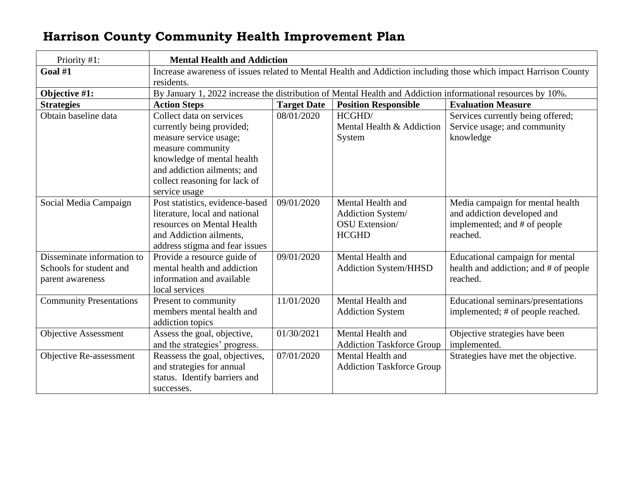<span id="page-11-1"></span><span id="page-11-0"></span>

| Priority #1:                                                              | <b>Mental Health and Addiction</b>                                                                                                                                                                                  |                    |                                                                          |                                                                                                             |  |  |
|---------------------------------------------------------------------------|---------------------------------------------------------------------------------------------------------------------------------------------------------------------------------------------------------------------|--------------------|--------------------------------------------------------------------------|-------------------------------------------------------------------------------------------------------------|--|--|
| Goal #1                                                                   | Increase awareness of issues related to Mental Health and Addiction including those which impact Harrison County                                                                                                    |                    |                                                                          |                                                                                                             |  |  |
|                                                                           | residents.                                                                                                                                                                                                          |                    |                                                                          |                                                                                                             |  |  |
| Objective #1:                                                             | By January 1, 2022 increase the distribution of Mental Health and Addiction informational resources by 10%.                                                                                                         |                    |                                                                          |                                                                                                             |  |  |
| <b>Strategies</b>                                                         | <b>Action Steps</b>                                                                                                                                                                                                 | <b>Target Date</b> | <b>Position Responsible</b>                                              | <b>Evaluation Measure</b>                                                                                   |  |  |
| Obtain baseline data                                                      | Collect data on services<br>currently being provided;<br>measure service usage;<br>measure community<br>knowledge of mental health<br>and addiction ailments; and<br>collect reasoning for lack of<br>service usage | 08/01/2020         | HCGHD/<br>Mental Health & Addiction<br>System                            | Services currently being offered;<br>Service usage; and community<br>knowledge                              |  |  |
| Social Media Campaign                                                     | Post statistics, evidence-based<br>literature, local and national<br>resources on Mental Health<br>and Addiction ailments,<br>address stigma and fear issues                                                        | 09/01/2020         | Mental Health and<br>Addiction System/<br>OSU Extension/<br><b>HCGHD</b> | Media campaign for mental health<br>and addiction developed and<br>implemented; and # of people<br>reached. |  |  |
| Disseminate information to<br>Schools for student and<br>parent awareness | Provide a resource guide of<br>mental health and addiction<br>information and available<br>local services                                                                                                           | 09/01/2020         | Mental Health and<br>Addiction System/HHSD                               | Educational campaign for mental<br>health and addiction; and # of people<br>reached.                        |  |  |
| <b>Community Presentations</b>                                            | Present to community<br>members mental health and<br>addiction topics                                                                                                                                               | 11/01/2020         | Mental Health and<br><b>Addiction System</b>                             | Educational seminars/presentations<br>implemented; # of people reached.                                     |  |  |
| <b>Objective Assessment</b>                                               | Assess the goal, objective,<br>and the strategies' progress.                                                                                                                                                        | 01/30/2021         | Mental Health and<br><b>Addiction Taskforce Group</b>                    | Objective strategies have been<br>implemented.                                                              |  |  |
| Objective Re-assessment                                                   | Reassess the goal, objectives,<br>and strategies for annual<br>status. Identify barriers and<br>successes.                                                                                                          | 07/01/2020         | Mental Health and<br><b>Addiction Taskforce Group</b>                    | Strategies have met the objective.                                                                          |  |  |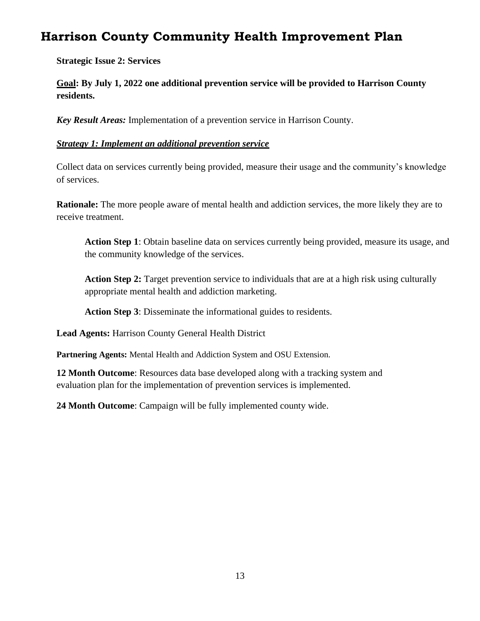**Strategic Issue 2: Services**

**Goal: By July 1, 2022 one additional prevention service will be provided to Harrison County residents.**

*Key Result Areas:* Implementation of a prevention service in Harrison County.

#### *Strategy 1: Implement an additional prevention service*

Collect data on services currently being provided, measure their usage and the community's knowledge of services.

**Rationale:** The more people aware of mental health and addiction services, the more likely they are to receive treatment.

**Action Step 1**: Obtain baseline data on services currently being provided, measure its usage, and the community knowledge of the services.

**Action Step 2:** Target prevention service to individuals that are at a high risk using culturally appropriate mental health and addiction marketing.

**Action Step 3**: Disseminate the informational guides to residents.

**Lead Agents:** Harrison County General Health District

**Partnering Agents:** Mental Health and Addiction System and OSU Extension.

**12 Month Outcome**: Resources data base developed along with a tracking system and evaluation plan for the implementation of prevention services is implemented.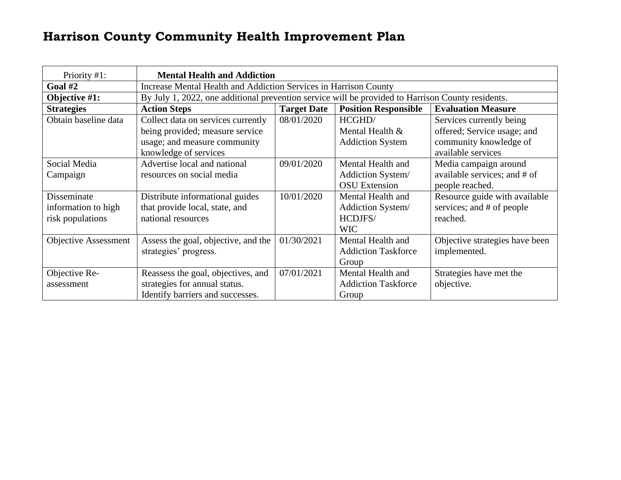<span id="page-13-1"></span><span id="page-13-0"></span>

| Priority #1:                | <b>Mental Health and Addiction</b>                                      |                                                                                                   |                            |                                |  |  |
|-----------------------------|-------------------------------------------------------------------------|---------------------------------------------------------------------------------------------------|----------------------------|--------------------------------|--|--|
| Goal $#2$                   | <b>Increase Mental Health and Addiction Services in Harrison County</b> |                                                                                                   |                            |                                |  |  |
| Objective #1:               |                                                                         | By July 1, 2022, one additional prevention service will be provided to Harrison County residents. |                            |                                |  |  |
| <b>Strategies</b>           | <b>Action Steps</b>                                                     | <b>Target Date</b><br><b>Evaluation Measure</b><br><b>Position Responsible</b>                    |                            |                                |  |  |
| Obtain baseline data        | Collect data on services currently                                      | 08/01/2020                                                                                        | HCGHD/                     | Services currently being       |  |  |
|                             | being provided; measure service                                         |                                                                                                   | Mental Health &            | offered; Service usage; and    |  |  |
|                             | usage; and measure community                                            |                                                                                                   | <b>Addiction System</b>    | community knowledge of         |  |  |
|                             | knowledge of services                                                   |                                                                                                   |                            | available services             |  |  |
| Social Media                | Advertise local and national                                            | 09/01/2020                                                                                        | Mental Health and          | Media campaign around          |  |  |
| Campaign                    | resources on social media                                               |                                                                                                   | Addiction System/          | available services; and # of   |  |  |
|                             |                                                                         |                                                                                                   | <b>OSU</b> Extension       | people reached.                |  |  |
| Disseminate                 | Distribute informational guides                                         | 10/01/2020                                                                                        | Mental Health and          | Resource guide with available  |  |  |
| information to high         | that provide local, state, and                                          |                                                                                                   | Addiction System/          | services; and # of people      |  |  |
| risk populations            | national resources                                                      |                                                                                                   | HCDJFS/                    | reached.                       |  |  |
|                             |                                                                         |                                                                                                   | <b>WIC</b>                 |                                |  |  |
| <b>Objective Assessment</b> | Assess the goal, objective, and the                                     | 01/30/2021                                                                                        | Mental Health and          | Objective strategies have been |  |  |
|                             | strategies' progress.                                                   |                                                                                                   | <b>Addiction Taskforce</b> | implemented.                   |  |  |
|                             |                                                                         |                                                                                                   | Group                      |                                |  |  |
| Objective Re-               | Reassess the goal, objectives, and                                      | 07/01/2021                                                                                        | Mental Health and          | Strategies have met the        |  |  |
| assessment                  | strategies for annual status.                                           |                                                                                                   | <b>Addiction Taskforce</b> | objective.                     |  |  |
|                             | Identify barriers and successes.                                        |                                                                                                   | Group                      |                                |  |  |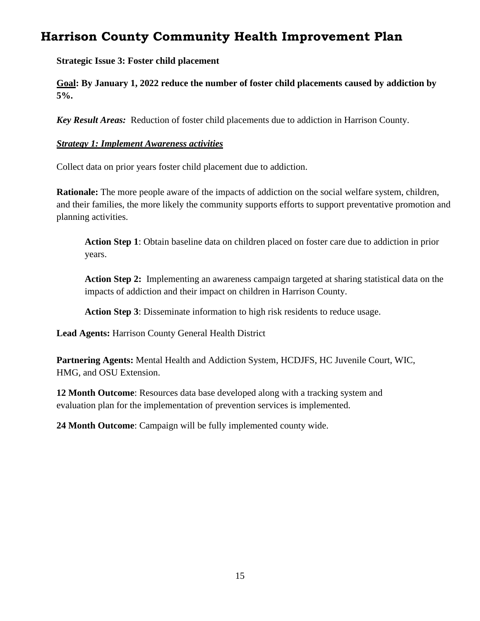**Strategic Issue 3: Foster child placement**

**Goal: By January 1, 2022 reduce the number of foster child placements caused by addiction by 5%.**

*Key Result Areas:* Reduction of foster child placements due to addiction in Harrison County.

#### *Strategy 1: Implement Awareness activities*

Collect data on prior years foster child placement due to addiction.

**Rationale:** The more people aware of the impacts of addiction on the social welfare system, children, and their families, the more likely the community supports efforts to support preventative promotion and planning activities.

**Action Step 1**: Obtain baseline data on children placed on foster care due to addiction in prior years.

**Action Step 2:** Implementing an awareness campaign targeted at sharing statistical data on the impacts of addiction and their impact on children in Harrison County.

**Action Step 3**: Disseminate information to high risk residents to reduce usage.

**Lead Agents:** Harrison County General Health District

**Partnering Agents:** Mental Health and Addiction System, HCDJFS, HC Juvenile Court, WIC, HMG, and OSU Extension.

**12 Month Outcome**: Resources data base developed along with a tracking system and evaluation plan for the implementation of prevention services is implemented.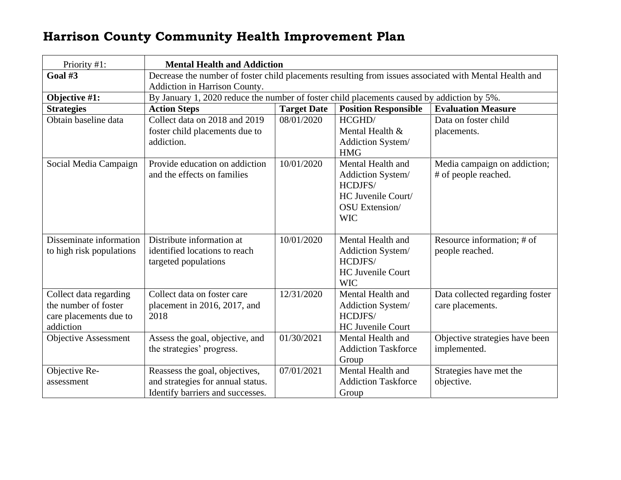<span id="page-15-1"></span><span id="page-15-0"></span>

| Priority #1:                | <b>Mental Health and Addiction</b>                                                                     |                                                                                            |                                 |                                 |  |  |
|-----------------------------|--------------------------------------------------------------------------------------------------------|--------------------------------------------------------------------------------------------|---------------------------------|---------------------------------|--|--|
| Goal #3                     | Decrease the number of foster child placements resulting from issues associated with Mental Health and |                                                                                            |                                 |                                 |  |  |
|                             | Addiction in Harrison County.                                                                          |                                                                                            |                                 |                                 |  |  |
| Objective #1:               |                                                                                                        | By January 1, 2020 reduce the number of foster child placements caused by addiction by 5%. |                                 |                                 |  |  |
| <b>Strategies</b>           | <b>Action Steps</b>                                                                                    | <b>Target Date</b>                                                                         | <b>Position Responsible</b>     | <b>Evaluation Measure</b>       |  |  |
| Obtain baseline data        | Collect data on 2018 and 2019                                                                          | 08/01/2020                                                                                 | HCGHD/                          | Data on foster child            |  |  |
|                             | foster child placements due to                                                                         |                                                                                            | Mental Health &                 | placements.                     |  |  |
|                             | addiction.                                                                                             |                                                                                            | Addiction System/<br><b>HMG</b> |                                 |  |  |
| Social Media Campaign       | Provide education on addiction                                                                         | 10/01/2020                                                                                 | Mental Health and               | Media campaign on addiction;    |  |  |
|                             | and the effects on families                                                                            |                                                                                            | Addiction System/               | # of people reached.            |  |  |
|                             |                                                                                                        |                                                                                            | HCDJFS/                         |                                 |  |  |
|                             |                                                                                                        |                                                                                            | HC Juvenile Court/              |                                 |  |  |
|                             |                                                                                                        |                                                                                            | OSU Extension/                  |                                 |  |  |
|                             |                                                                                                        |                                                                                            | <b>WIC</b>                      |                                 |  |  |
| Disseminate information     | Distribute information at                                                                              | 10/01/2020                                                                                 | Mental Health and               | Resource information; # of      |  |  |
| to high risk populations    | identified locations to reach                                                                          |                                                                                            | Addiction System/               | people reached.                 |  |  |
|                             | targeted populations                                                                                   |                                                                                            | HCDJFS/                         |                                 |  |  |
|                             |                                                                                                        |                                                                                            | <b>HC Juvenile Court</b>        |                                 |  |  |
|                             |                                                                                                        |                                                                                            | <b>WIC</b>                      |                                 |  |  |
| Collect data regarding      | Collect data on foster care                                                                            | 12/31/2020                                                                                 | Mental Health and               | Data collected regarding foster |  |  |
| the number of foster        | placement in 2016, 2017, and                                                                           |                                                                                            | Addiction System/               | care placements.                |  |  |
| care placements due to      | 2018                                                                                                   |                                                                                            | HCDJFS/                         |                                 |  |  |
| addiction                   |                                                                                                        |                                                                                            | <b>HC Juvenile Court</b>        |                                 |  |  |
| <b>Objective Assessment</b> | Assess the goal, objective, and                                                                        | 01/30/2021                                                                                 | Mental Health and               | Objective strategies have been  |  |  |
|                             | the strategies' progress.                                                                              |                                                                                            | <b>Addiction Taskforce</b>      | implemented.                    |  |  |
|                             |                                                                                                        |                                                                                            | Group                           |                                 |  |  |
| Objective Re-               | Reassess the goal, objectives,                                                                         | 07/01/2021                                                                                 | Mental Health and               | Strategies have met the         |  |  |
| assessment                  | and strategies for annual status.                                                                      |                                                                                            | <b>Addiction Taskforce</b>      | objective.                      |  |  |
|                             | Identify barriers and successes.                                                                       |                                                                                            | Group                           |                                 |  |  |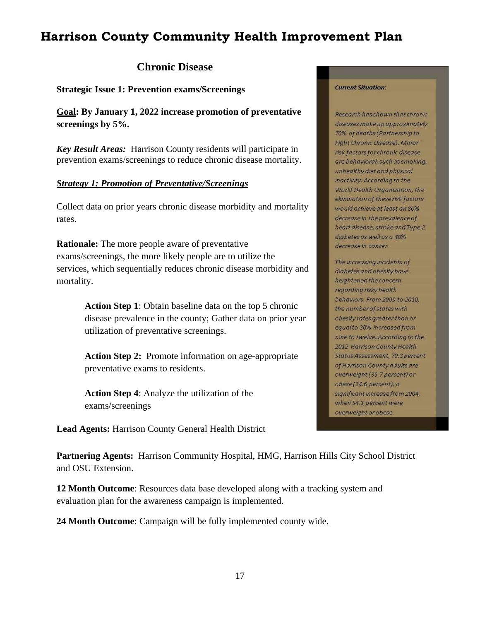#### **Chronic Disease**

<span id="page-16-0"></span>**Strategic Issue 1: Prevention exams/Screenings**

**Goal: By January 1, 2022 increase promotion of preventative screenings by 5%.**

*Key Result Areas:* Harrison County residents will participate in prevention exams/screenings to reduce chronic disease mortality.

#### *Strategy 1: Promotion of Preventative/Screenings*

Collect data on prior years chronic disease morbidity and mortality rates.

**Rationale:** The more people aware of preventative exams/screenings, the more likely people are to utilize the services, which sequentially reduces chronic disease morbidity and mortality.

> **Action Step 1**: Obtain baseline data on the top 5 chronic disease prevalence in the county; Gather data on prior year utilization of preventative screenings.

**Action Step 2:** Promote information on age-appropriate preventative exams to residents.

**Action Step 4**: Analyze the utilization of the exams/screenings

**Lead Agents:** Harrison County General Health District

#### **Current Situation:**

Research has shown that chronic diseases make up approximately 70% of deaths (Partnership to Fight Chronic Disease). Major risk factors for chronic disease are behavioral, such as smoking, unhealthy diet and physical inactivity. According to the World Health Organization, the elimination of these risk factors would achieve at least an 80% decrease in the prevalence of heart disease, stroke and Type 2 diabetes as well as a 40% decrease in cancer.

The increasing incidents of diabetes and obesity have heightened the concern regarding risky health behaviors. From 2009 to 2010, the number of states with obesity rates greater than or equalto 30% increased from nine to twelve. According to the 2012 Harrison County Health Status Assessment, 70.3 percent of Harrison County adults are overweight (35.7 percent) or obese (34.6 percent), a significant increase from 2004, when 54.1 percent were overweight or obese.

**Partnering Agents:** Harrison Community Hospital, HMG, Harrison Hills City School District and OSU Extension.

**12 Month Outcome**: Resources data base developed along with a tracking system and evaluation plan for the awareness campaign is implemented.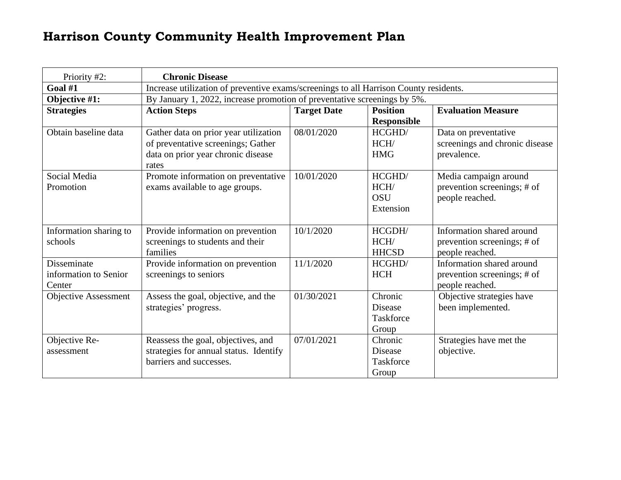<span id="page-17-1"></span><span id="page-17-0"></span>

| Priority #2:                                   | <b>Chronic Disease</b>                                                                                                     |                    |                                                 |                                                                             |  |  |
|------------------------------------------------|----------------------------------------------------------------------------------------------------------------------------|--------------------|-------------------------------------------------|-----------------------------------------------------------------------------|--|--|
| Goal #1                                        | Increase utilization of preventive exams/screenings to all Harrison County residents.                                      |                    |                                                 |                                                                             |  |  |
| Objective #1:                                  | By January 1, 2022, increase promotion of preventative screenings by 5%.                                                   |                    |                                                 |                                                                             |  |  |
| <b>Strategies</b>                              | <b>Action Steps</b>                                                                                                        | <b>Target Date</b> | <b>Position</b><br><b>Responsible</b>           | <b>Evaluation Measure</b>                                                   |  |  |
| Obtain baseline data                           | Gather data on prior year utilization<br>of preventative screenings; Gather<br>data on prior year chronic disease<br>rates | 08/01/2020         | HCGHD/<br>HCH/<br><b>HMG</b>                    | Data on preventative<br>screenings and chronic disease<br>prevalence.       |  |  |
| Social Media<br>Promotion                      | Promote information on preventative<br>exams available to age groups.                                                      | 10/01/2020         | HCGHD/<br>HCH/<br><b>OSU</b><br>Extension       | Media campaign around<br>prevention screenings; # of<br>people reached.     |  |  |
| Information sharing to<br>schools              | Provide information on prevention<br>screenings to students and their<br>families                                          | 10/1/2020          | HCGDH/<br>HCH/<br><b>HHCSD</b>                  | Information shared around<br>prevention screenings; # of<br>people reached. |  |  |
| Disseminate<br>information to Senior<br>Center | Provide information on prevention<br>screenings to seniors                                                                 | 11/1/2020          | HCGHD/<br><b>HCH</b>                            | Information shared around<br>prevention screenings; # of<br>people reached. |  |  |
| <b>Objective Assessment</b>                    | Assess the goal, objective, and the<br>strategies' progress.                                                               | 01/30/2021         | Chronic<br><b>Disease</b><br>Taskforce<br>Group | Objective strategies have<br>been implemented.                              |  |  |
| Objective Re-<br>assessment                    | Reassess the goal, objectives, and<br>strategies for annual status. Identify<br>barriers and successes.                    | 07/01/2021         | Chronic<br><b>Disease</b><br>Taskforce<br>Group | Strategies have met the<br>objective.                                       |  |  |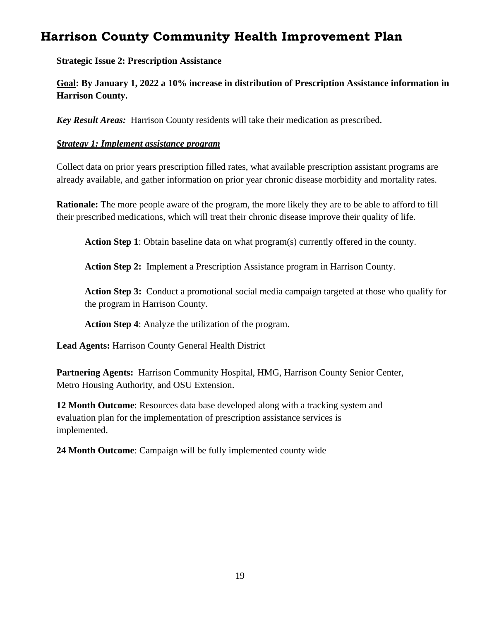**Strategic Issue 2: Prescription Assistance**

**Goal: By January 1, 2022 a 10% increase in distribution of Prescription Assistance information in Harrison County.**

*Key Result Areas:* Harrison County residents will take their medication as prescribed.

#### *Strategy 1: Implement assistance program*

Collect data on prior years prescription filled rates, what available prescription assistant programs are already available, and gather information on prior year chronic disease morbidity and mortality rates.

**Rationale:** The more people aware of the program, the more likely they are to be able to afford to fill their prescribed medications, which will treat their chronic disease improve their quality of life.

**Action Step 1**: Obtain baseline data on what program(s) currently offered in the county.

**Action Step 2:** Implement a Prescription Assistance program in Harrison County.

**Action Step 3:** Conduct a promotional social media campaign targeted at those who qualify for the program in Harrison County.

**Action Step 4**: Analyze the utilization of the program.

**Lead Agents:** Harrison County General Health District

**Partnering Agents:** Harrison Community Hospital, HMG, Harrison County Senior Center, Metro Housing Authority, and OSU Extension.

**12 Month Outcome**: Resources data base developed along with a tracking system and evaluation plan for the implementation of prescription assistance services is implemented.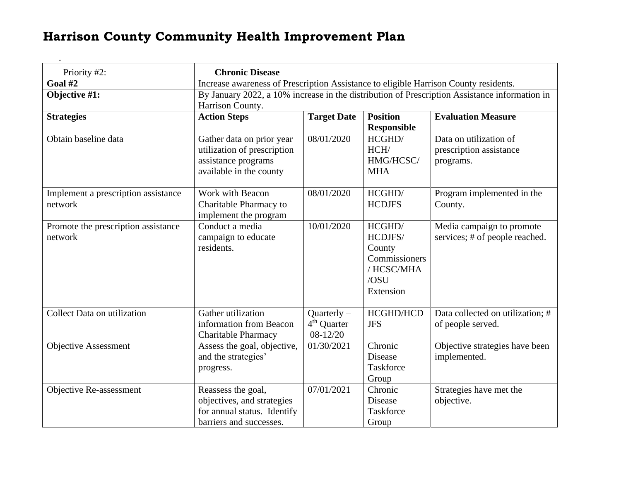<span id="page-19-1"></span><span id="page-19-0"></span>

| Priority #2:                        | <b>Chronic Disease</b>                                                                        |                         |                    |                                  |  |
|-------------------------------------|-----------------------------------------------------------------------------------------------|-------------------------|--------------------|----------------------------------|--|
| Goal #2                             | Increase awareness of Prescription Assistance to eligible Harrison County residents.          |                         |                    |                                  |  |
| Objective #1:                       | By January 2022, a 10% increase in the distribution of Prescription Assistance information in |                         |                    |                                  |  |
|                                     | Harrison County.                                                                              |                         |                    |                                  |  |
| <b>Strategies</b>                   | <b>Action Steps</b>                                                                           | <b>Target Date</b>      | <b>Position</b>    | <b>Evaluation Measure</b>        |  |
|                                     |                                                                                               |                         | <b>Responsible</b> |                                  |  |
| Obtain baseline data                | Gather data on prior year                                                                     | 08/01/2020              | HCGHD/             | Data on utilization of           |  |
|                                     | utilization of prescription                                                                   |                         | HCH/               | prescription assistance          |  |
|                                     | assistance programs                                                                           |                         | HMG/HCSC/          | programs.                        |  |
|                                     | available in the county                                                                       |                         | <b>MHA</b>         |                                  |  |
|                                     |                                                                                               |                         |                    |                                  |  |
| Implement a prescription assistance | Work with Beacon                                                                              | 08/01/2020              | HCGHD/             | Program implemented in the       |  |
| network                             | Charitable Pharmacy to                                                                        |                         | <b>HCDJFS</b>      | County.                          |  |
|                                     | implement the program                                                                         |                         |                    |                                  |  |
| Promote the prescription assistance | Conduct a media                                                                               | 10/01/2020              | HCGHD/             | Media campaign to promote        |  |
| network                             | campaign to educate                                                                           |                         | HCDJFS/            | services; # of people reached.   |  |
|                                     | residents.                                                                                    |                         | County             |                                  |  |
|                                     |                                                                                               |                         | Commissioners      |                                  |  |
|                                     |                                                                                               |                         | / HCSC/MHA         |                                  |  |
|                                     |                                                                                               |                         | /OSU               |                                  |  |
|                                     |                                                                                               |                         | Extension          |                                  |  |
|                                     |                                                                                               |                         |                    |                                  |  |
| Collect Data on utilization         | Gather utilization                                                                            | $Quarterly -$           | HCGHD/HCD          | Data collected on utilization; # |  |
|                                     | information from Beacon                                                                       | 4 <sup>th</sup> Quarter | <b>JFS</b>         | of people served.                |  |
|                                     | <b>Charitable Pharmacy</b>                                                                    | $08-12/20$              |                    |                                  |  |
| <b>Objective Assessment</b>         | Assess the goal, objective,                                                                   | 01/30/2021              | Chronic            | Objective strategies have been   |  |
|                                     | and the strategies'                                                                           |                         | <b>Disease</b>     | implemented.                     |  |
|                                     | progress.                                                                                     |                         | Taskforce          |                                  |  |
|                                     |                                                                                               |                         | Group              |                                  |  |
| Objective Re-assessment             | Reassess the goal,                                                                            | 07/01/2021              | Chronic            | Strategies have met the          |  |
|                                     | objectives, and strategies                                                                    |                         | Disease            | objective.                       |  |
|                                     | for annual status. Identify                                                                   |                         | Taskforce          |                                  |  |
|                                     | barriers and successes.                                                                       |                         | Group              |                                  |  |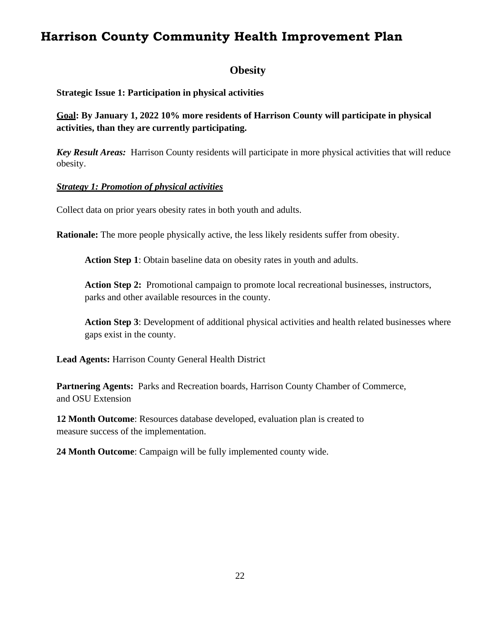#### **Obesity**

<span id="page-21-0"></span>**Strategic Issue 1: Participation in physical activities**

**Goal: By January 1, 2022 10% more residents of Harrison County will participate in physical activities, than they are currently participating.** 

*Key Result Areas:* Harrison County residents will participate in more physical activities that will reduce obesity.

#### *Strategy 1: Promotion of physical activities*

Collect data on prior years obesity rates in both youth and adults.

**Rationale:** The more people physically active, the less likely residents suffer from obesity.

**Action Step 1**: Obtain baseline data on obesity rates in youth and adults.

Action Step 2: Promotional campaign to promote local recreational businesses, instructors, parks and other available resources in the county.

**Action Step 3**: Development of additional physical activities and health related businesses where gaps exist in the county.

**Lead Agents:** Harrison County General Health District

**Partnering Agents:** Parks and Recreation boards, Harrison County Chamber of Commerce, and OSU Extension

**12 Month Outcome**: Resources database developed, evaluation plan is created to measure success of the implementation.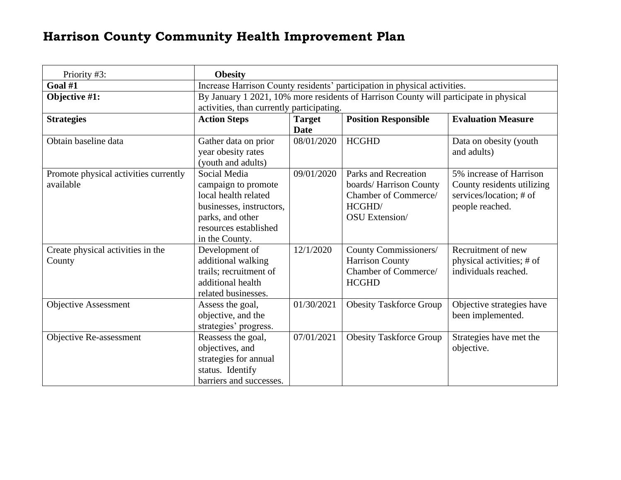<span id="page-22-1"></span><span id="page-22-0"></span>

| Priority #3:                                       | <b>Obesity</b>                                                                                                                                         |                              |                                                                                                            |                                                                                                     |  |
|----------------------------------------------------|--------------------------------------------------------------------------------------------------------------------------------------------------------|------------------------------|------------------------------------------------------------------------------------------------------------|-----------------------------------------------------------------------------------------------------|--|
| Goal #1                                            | Increase Harrison County residents' participation in physical activities.                                                                              |                              |                                                                                                            |                                                                                                     |  |
| Objective #1:                                      | By January 1 2021, 10% more residents of Harrison County will participate in physical<br>activities, than currently participating.                     |                              |                                                                                                            |                                                                                                     |  |
| <b>Strategies</b>                                  | <b>Action Steps</b>                                                                                                                                    | <b>Target</b><br><b>Date</b> | <b>Position Responsible</b>                                                                                | <b>Evaluation Measure</b>                                                                           |  |
| Obtain baseline data                               | Gather data on prior<br>year obesity rates<br>(youth and adults)                                                                                       | 08/01/2020                   | <b>HCGHD</b>                                                                                               | Data on obesity (youth<br>and adults)                                                               |  |
| Promote physical activities currently<br>available | Social Media<br>campaign to promote<br>local health related<br>businesses, instructors,<br>parks, and other<br>resources established<br>in the County. | 09/01/2020                   | Parks and Recreation<br>boards/ Harrison County<br>Chamber of Commerce/<br>HCGHD/<br><b>OSU</b> Extension/ | 5% increase of Harrison<br>County residents utilizing<br>services/location; # of<br>people reached. |  |
| Create physical activities in the<br>County        | Development of<br>additional walking<br>trails; recruitment of<br>additional health<br>related businesses.                                             | 12/1/2020                    | County Commissioners/<br><b>Harrison County</b><br>Chamber of Commerce/<br><b>HCGHD</b>                    | Recruitment of new<br>physical activities; # of<br>individuals reached.                             |  |
| <b>Objective Assessment</b>                        | Assess the goal,<br>objective, and the<br>strategies' progress.                                                                                        | 01/30/2021                   | <b>Obesity Taskforce Group</b>                                                                             | Objective strategies have<br>been implemented.                                                      |  |
| Objective Re-assessment                            | Reassess the goal,<br>objectives, and<br>strategies for annual<br>status. Identify<br>barriers and successes.                                          | 07/01/2021                   | <b>Obesity Taskforce Group</b>                                                                             | Strategies have met the<br>objective.                                                               |  |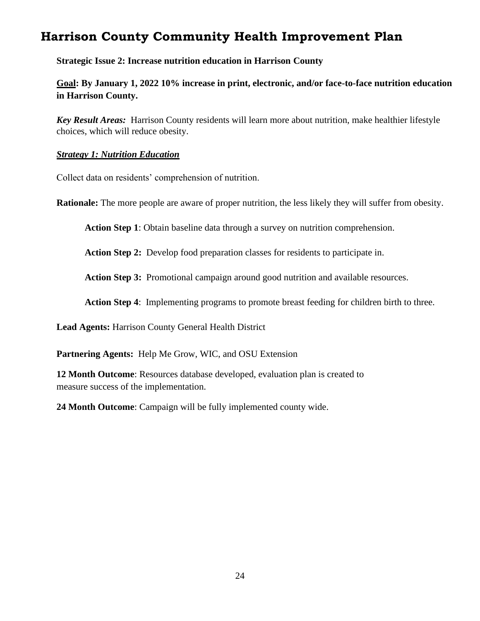**Strategic Issue 2: Increase nutrition education in Harrison County**

**Goal: By January 1, 2022 10% increase in print, electronic, and/or face-to-face nutrition education in Harrison County.** 

*Key Result Areas:* Harrison County residents will learn more about nutrition, make healthier lifestyle choices, which will reduce obesity.

#### *Strategy 1: Nutrition Education*

Collect data on residents' comprehension of nutrition.

**Rationale:** The more people are aware of proper nutrition, the less likely they will suffer from obesity.

**Action Step 1**: Obtain baseline data through a survey on nutrition comprehension.

**Action Step 2:** Develop food preparation classes for residents to participate in.

**Action Step 3:** Promotional campaign around good nutrition and available resources.

**Action Step 4**: Implementing programs to promote breast feeding for children birth to three.

**Lead Agents:** Harrison County General Health District

**Partnering Agents:** Help Me Grow, WIC, and OSU Extension

**12 Month Outcome**: Resources database developed, evaluation plan is created to measure success of the implementation.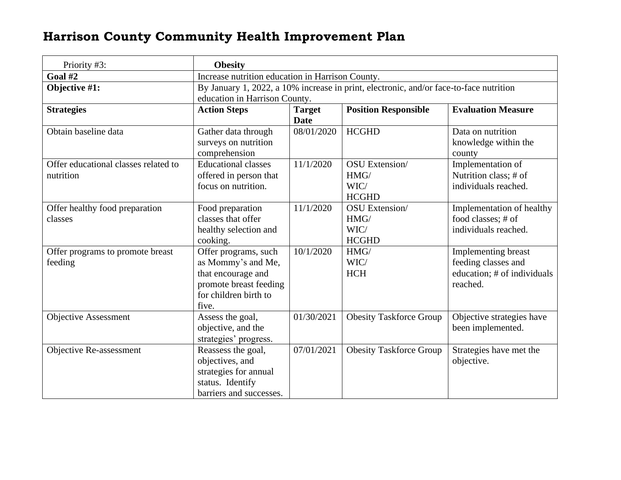<span id="page-24-1"></span><span id="page-24-0"></span>

| Priority #3:                         | <b>Obesity</b>                                                                         |               |                                |                             |  |
|--------------------------------------|----------------------------------------------------------------------------------------|---------------|--------------------------------|-----------------------------|--|
| Goal $#2$                            | Increase nutrition education in Harrison County.                                       |               |                                |                             |  |
| Objective #1:                        | By January 1, 2022, a 10% increase in print, electronic, and/or face-to-face nutrition |               |                                |                             |  |
|                                      | education in Harrison County.                                                          |               |                                |                             |  |
| <b>Strategies</b>                    | <b>Action Steps</b>                                                                    | <b>Target</b> | <b>Position Responsible</b>    | <b>Evaluation Measure</b>   |  |
|                                      |                                                                                        | <b>Date</b>   |                                |                             |  |
| Obtain baseline data                 | Gather data through                                                                    | 08/01/2020    | <b>HCGHD</b>                   | Data on nutrition           |  |
|                                      | surveys on nutrition                                                                   |               |                                | knowledge within the        |  |
|                                      | comprehension                                                                          |               |                                | county                      |  |
| Offer educational classes related to | <b>Educational classes</b>                                                             | 11/1/2020     | <b>OSU</b> Extension/          | Implementation of           |  |
| nutrition                            | offered in person that                                                                 |               | HMG/                           | Nutrition class; # of       |  |
|                                      | focus on nutrition.                                                                    |               | WIC/                           | individuals reached.        |  |
|                                      |                                                                                        |               | <b>HCGHD</b>                   |                             |  |
| Offer healthy food preparation       | Food preparation                                                                       | 11/1/2020     | <b>OSU</b> Extension/          | Implementation of healthy   |  |
| classes                              | classes that offer                                                                     |               | HMG/                           | food classes; # of          |  |
|                                      | healthy selection and                                                                  |               | WIC/                           | individuals reached.        |  |
|                                      | cooking.                                                                               |               | <b>HCGHD</b>                   |                             |  |
| Offer programs to promote breast     | Offer programs, such                                                                   | 10/1/2020     | HMG/                           | Implementing breast         |  |
| feeding                              | as Mommy's and Me,                                                                     |               | WIC/                           | feeding classes and         |  |
|                                      | that encourage and                                                                     |               | <b>HCH</b>                     | education; # of individuals |  |
|                                      | promote breast feeding                                                                 |               |                                | reached.                    |  |
|                                      | for children birth to                                                                  |               |                                |                             |  |
|                                      | five.                                                                                  |               |                                |                             |  |
| <b>Objective Assessment</b>          | Assess the goal,                                                                       | 01/30/2021    | <b>Obesity Taskforce Group</b> | Objective strategies have   |  |
|                                      | objective, and the                                                                     |               |                                | been implemented.           |  |
|                                      | strategies' progress.                                                                  |               |                                |                             |  |
| Objective Re-assessment              | Reassess the goal,                                                                     | 07/01/2021    | <b>Obesity Taskforce Group</b> | Strategies have met the     |  |
|                                      | objectives, and                                                                        |               |                                | objective.                  |  |
|                                      | strategies for annual                                                                  |               |                                |                             |  |
|                                      | status. Identify                                                                       |               |                                |                             |  |
|                                      | barriers and successes.                                                                |               |                                |                             |  |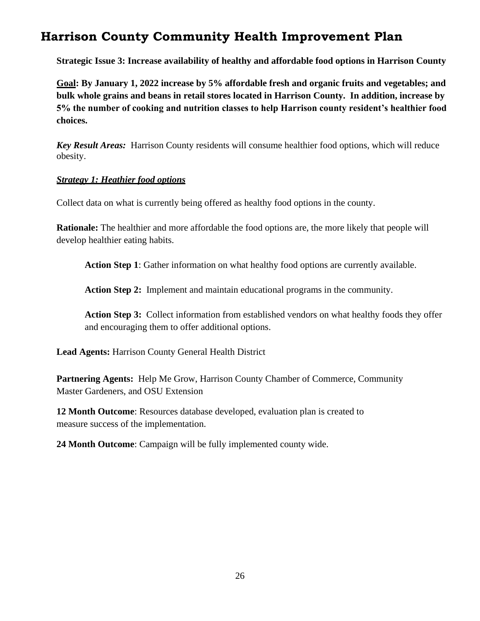**Strategic Issue 3: Increase availability of healthy and affordable food options in Harrison County**

**Goal: By January 1, 2022 increase by 5% affordable fresh and organic fruits and vegetables; and bulk whole grains and beans in retail stores located in Harrison County. In addition, increase by 5% the number of cooking and nutrition classes to help Harrison county resident's healthier food choices.**

*Key Result Areas:* Harrison County residents will consume healthier food options, which will reduce obesity.

#### *Strategy 1: Heathier food options*

Collect data on what is currently being offered as healthy food options in the county.

**Rationale:** The healthier and more affordable the food options are, the more likely that people will develop healthier eating habits.

**Action Step 1**: Gather information on what healthy food options are currently available.

**Action Step 2:** Implement and maintain educational programs in the community.

**Action Step 3:** Collect information from established vendors on what healthy foods they offer and encouraging them to offer additional options.

**Lead Agents:** Harrison County General Health District

Partnering Agents: Help Me Grow, Harrison County Chamber of Commerce, Community Master Gardeners, and OSU Extension

**12 Month Outcome**: Resources database developed, evaluation plan is created to measure success of the implementation.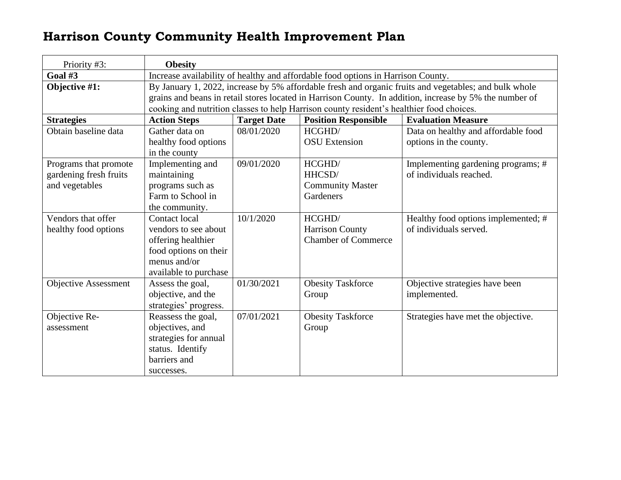<span id="page-26-1"></span><span id="page-26-0"></span>

| Priority #3:                                                      | <b>Obesity</b>                                                                                                                                                                                                                                                                                               |                    |                                                                |                                                               |
|-------------------------------------------------------------------|--------------------------------------------------------------------------------------------------------------------------------------------------------------------------------------------------------------------------------------------------------------------------------------------------------------|--------------------|----------------------------------------------------------------|---------------------------------------------------------------|
| Goal #3                                                           | Increase availability of healthy and affordable food options in Harrison County.                                                                                                                                                                                                                             |                    |                                                                |                                                               |
| Objective #1:                                                     | By January 1, 2022, increase by 5% affordable fresh and organic fruits and vegetables; and bulk whole<br>grains and beans in retail stores located in Harrison County. In addition, increase by 5% the number of<br>cooking and nutrition classes to help Harrison county resident's healthier food choices. |                    |                                                                |                                                               |
| <b>Strategies</b>                                                 | <b>Action Steps</b>                                                                                                                                                                                                                                                                                          | <b>Target Date</b> | <b>Position Responsible</b>                                    | <b>Evaluation Measure</b>                                     |
| Obtain baseline data                                              | Gather data on<br>healthy food options<br>in the county                                                                                                                                                                                                                                                      | 08/01/2020         | HCGHD/<br><b>OSU</b> Extension                                 | Data on healthy and affordable food<br>options in the county. |
| Programs that promote<br>gardening fresh fruits<br>and vegetables | Implementing and<br>maintaining<br>programs such as<br>Farm to School in<br>the community.                                                                                                                                                                                                                   | 09/01/2020         | HCGHD/<br>HHCSD/<br><b>Community Master</b><br>Gardeners       | Implementing gardening programs; #<br>of individuals reached. |
| Vendors that offer<br>healthy food options                        | <b>Contact local</b><br>vendors to see about<br>offering healthier<br>food options on their<br>menus and/or<br>available to purchase                                                                                                                                                                         | 10/1/2020          | HCGHD/<br><b>Harrison County</b><br><b>Chamber of Commerce</b> | Healthy food options implemented; #<br>of individuals served. |
| <b>Objective Assessment</b>                                       | Assess the goal,<br>objective, and the<br>strategies' progress.                                                                                                                                                                                                                                              | 01/30/2021         | <b>Obesity Taskforce</b><br>Group                              | Objective strategies have been<br>implemented.                |
| Objective Re-<br>assessment                                       | Reassess the goal,<br>objectives, and<br>strategies for annual<br>status. Identify<br>barriers and<br>successes.                                                                                                                                                                                             | 07/01/2021         | <b>Obesity Taskforce</b><br>Group                              | Strategies have met the objective.                            |